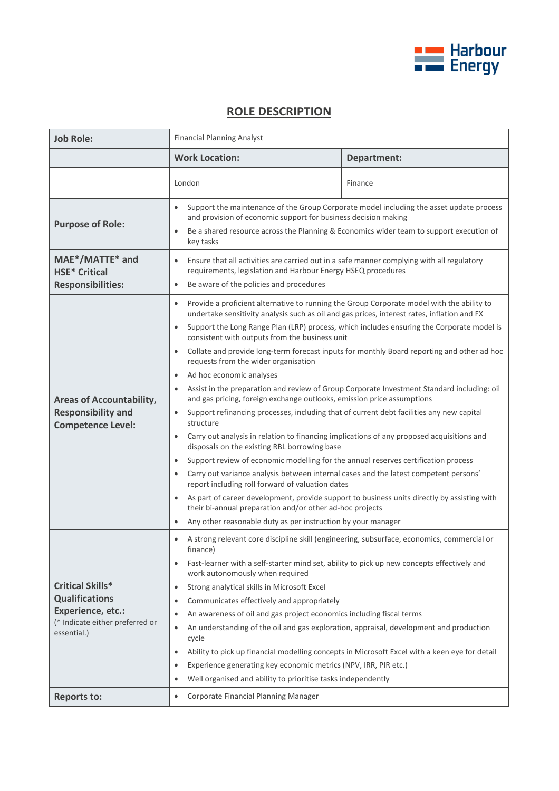

## **ROLE DESCRIPTION**

| <b>Job Role:</b>                                                                                                               | <b>Financial Planning Analyst</b>                                                                                                                                                                                                                                                                                                                                                                                                                                                                                                                                                                                                                                                                                                                                                                                                                                                                                                                                                                                                                                                                                                                                                                                                                                                                                                                                                                                                                                                                                                                   |                    |
|--------------------------------------------------------------------------------------------------------------------------------|-----------------------------------------------------------------------------------------------------------------------------------------------------------------------------------------------------------------------------------------------------------------------------------------------------------------------------------------------------------------------------------------------------------------------------------------------------------------------------------------------------------------------------------------------------------------------------------------------------------------------------------------------------------------------------------------------------------------------------------------------------------------------------------------------------------------------------------------------------------------------------------------------------------------------------------------------------------------------------------------------------------------------------------------------------------------------------------------------------------------------------------------------------------------------------------------------------------------------------------------------------------------------------------------------------------------------------------------------------------------------------------------------------------------------------------------------------------------------------------------------------------------------------------------------------|--------------------|
|                                                                                                                                | <b>Work Location:</b>                                                                                                                                                                                                                                                                                                                                                                                                                                                                                                                                                                                                                                                                                                                                                                                                                                                                                                                                                                                                                                                                                                                                                                                                                                                                                                                                                                                                                                                                                                                               | <b>Department:</b> |
|                                                                                                                                | London                                                                                                                                                                                                                                                                                                                                                                                                                                                                                                                                                                                                                                                                                                                                                                                                                                                                                                                                                                                                                                                                                                                                                                                                                                                                                                                                                                                                                                                                                                                                              | Finance            |
| <b>Purpose of Role:</b>                                                                                                        | Support the maintenance of the Group Corporate model including the asset update process<br>$\bullet$<br>and provision of economic support for business decision making<br>Be a shared resource across the Planning & Economics wider team to support execution of<br>$\bullet$<br>key tasks                                                                                                                                                                                                                                                                                                                                                                                                                                                                                                                                                                                                                                                                                                                                                                                                                                                                                                                                                                                                                                                                                                                                                                                                                                                         |                    |
| MAE*/MATTE* and<br><b>HSE* Critical</b><br><b>Responsibilities:</b>                                                            | Ensure that all activities are carried out in a safe manner complying with all regulatory<br>$\bullet$<br>requirements, legislation and Harbour Energy HSEQ procedures<br>Be aware of the policies and procedures<br>$\bullet$                                                                                                                                                                                                                                                                                                                                                                                                                                                                                                                                                                                                                                                                                                                                                                                                                                                                                                                                                                                                                                                                                                                                                                                                                                                                                                                      |                    |
| <b>Areas of Accountability,</b><br><b>Responsibility and</b><br><b>Competence Level:</b>                                       | Provide a proficient alternative to running the Group Corporate model with the ability to<br>$\bullet$<br>undertake sensitivity analysis such as oil and gas prices, interest rates, inflation and FX<br>Support the Long Range Plan (LRP) process, which includes ensuring the Corporate model is<br>$\bullet$<br>consistent with outputs from the business unit<br>Collate and provide long-term forecast inputs for monthly Board reporting and other ad hoc<br>$\bullet$<br>requests from the wider organisation<br>Ad hoc economic analyses<br>$\bullet$<br>Assist in the preparation and review of Group Corporate Investment Standard including: oil<br>$\bullet$<br>and gas pricing, foreign exchange outlooks, emission price assumptions<br>Support refinancing processes, including that of current debt facilities any new capital<br>$\bullet$<br>structure<br>Carry out analysis in relation to financing implications of any proposed acquisitions and<br>$\bullet$<br>disposals on the existing RBL borrowing base<br>Support review of economic modelling for the annual reserves certification process<br>$\bullet$<br>Carry out variance analysis between internal cases and the latest competent persons'<br>$\bullet$<br>report including roll forward of valuation dates<br>As part of career development, provide support to business units directly by assisting with<br>$\bullet$<br>their bi-annual preparation and/or other ad-hoc projects<br>Any other reasonable duty as per instruction by your manager<br>$\bullet$ |                    |
| <b>Critical Skills*</b><br><b>Qualifications</b><br><b>Experience, etc.:</b><br>(* Indicate either preferred or<br>essential.) | A strong relevant core discipline skill (engineering, subsurface, economics, commercial or<br>$\bullet$<br>finance)<br>Fast-learner with a self-starter mind set, ability to pick up new concepts effectively and<br>$\bullet$<br>work autonomously when required<br>Strong analytical skills in Microsoft Excel<br>$\bullet$<br>Communicates effectively and appropriately<br>$\bullet$<br>An awareness of oil and gas project economics including fiscal terms<br>$\bullet$<br>An understanding of the oil and gas exploration, appraisal, development and production<br>$\bullet$<br>cycle<br>Ability to pick up financial modelling concepts in Microsoft Excel with a keen eye for detail<br>$\bullet$<br>Experience generating key economic metrics (NPV, IRR, PIR etc.)<br>$\bullet$<br>Well organised and ability to prioritise tasks independently<br>$\bullet$                                                                                                                                                                                                                                                                                                                                                                                                                                                                                                                                                                                                                                                                            |                    |
| <b>Reports to:</b>                                                                                                             | Corporate Financial Planning Manager<br>$\bullet$                                                                                                                                                                                                                                                                                                                                                                                                                                                                                                                                                                                                                                                                                                                                                                                                                                                                                                                                                                                                                                                                                                                                                                                                                                                                                                                                                                                                                                                                                                   |                    |